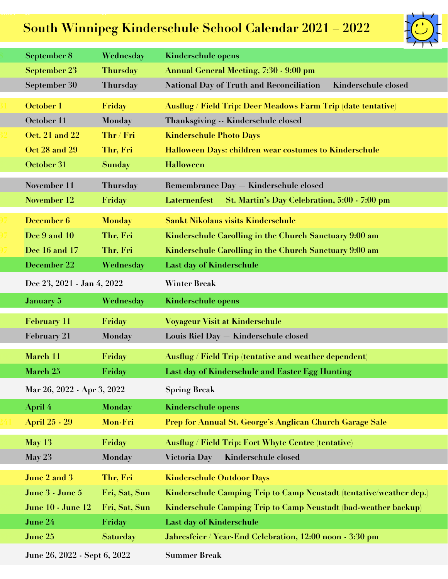## **South Winnipeg Kinderschule School Calendar 2021 – 2022**



| September 8                  | Wednesday       | <b>Kinderschule opens</b>                                              |
|------------------------------|-----------------|------------------------------------------------------------------------|
| <b>September 23</b>          | <b>Thursday</b> | <b>Annual General Meeting, 7:30 - 9:00 pm</b>                          |
| September 30                 | Thursday        | <b>National Day of Truth and Reconciliation</b><br>Kinderschule closed |
| October 1                    | Friday          | <b>Ausflug / Field Trip: Deer Meadows Farm Trip (date tentative)</b>   |
| October 11                   | <b>Monday</b>   | Thanksgiving -- Kinderschule closed                                    |
| <b>Oct. 21 and 22</b>        | Thr / Fri       | <b>Kinderschule Photo Days</b>                                         |
| Oct 28 and 29                | Thr, Fri        | Halloween Days: children wear costumes to Kinderschule                 |
| October 31                   | <b>Sunday</b>   | <b>Halloween</b>                                                       |
| November 11                  | Thursday        | <b>Remembrance Day</b><br>Kinderschule closed                          |
| November 12                  | Friday          | St. Martin's Day Celebration, 5:00 - 7:00 pm<br>Laternenfest           |
|                              |                 |                                                                        |
| December 6                   | <b>Monday</b>   | <b>Sankt Nikolaus visits Kinderschule</b>                              |
| Dec 9 and 10                 | Thr, Fri        | Kinderschule Carolling in the Church Sanctuary 9:00 am                 |
| Dec 16 and 17                | Thr, Fri        | Kinderschule Carolling in the Church Sanctuary 9:00 am                 |
| December 22                  | Wednesday       | <b>Last day of Kinderschule</b>                                        |
| Dec 23, 2021 - Jan 4, 2022   |                 | <b>Winter Break</b>                                                    |
| <b>January 5</b>             | Wednesday       | <b>Kinderschule opens</b>                                              |
| <b>February 11</b>           | Friday          | <b>Voyageur Visit at Kinderschule</b>                                  |
| <b>February 21</b>           | Monday          | <b>Louis Riel Day</b><br>Kinderschule closed                           |
| March 11                     | Friday          | Ausflug / Field Trip (tentative and weather dependent)                 |
| March 25                     | Friday          | Last day of Kinderschule and Easter Egg Hunting                        |
| Mar 26, 2022 - Apr 3, 2022   |                 | <b>Spring Break</b>                                                    |
| <b>April</b> 4               | <b>Monday</b>   | <b>Kinderschule opens</b>                                              |
| <b>April 25 - 29</b>         | Mon-Fri         | Prep for Annual St. George's Anglican Church Garage Sale               |
| <b>May 13</b>                | Friday          | <b>Ausflug / Field Trip: Fort Whyte Centre (tentative)</b>             |
| <b>May 23</b>                | <b>Monday</b>   | <b>Victoria Day</b><br>Kinderschule closed                             |
|                              |                 |                                                                        |
| June 2 and 3                 | Thr, Fri        | <b>Kinderschule Outdoor Days</b>                                       |
| June 3 - June 5              | Fri, Sat, Sun   | Kinderschule Camping Trip to Camp Neustadt (tentative/weather dep.)    |
| <b>June 10 - June 12</b>     | Fri, Sat, Sun   | Kinderschule Camping Trip to Camp Neustadt (bad-weather backup)        |
| June 24                      | Friday          | <b>Last day of Kinderschule</b>                                        |
| June 25                      | <b>Saturday</b> | Jahresfeier / Year-End Celebration, 12:00 noon - 3:30 pm               |
| June 26, 2022 - Sept 6, 2022 |                 | <b>Summer Break</b>                                                    |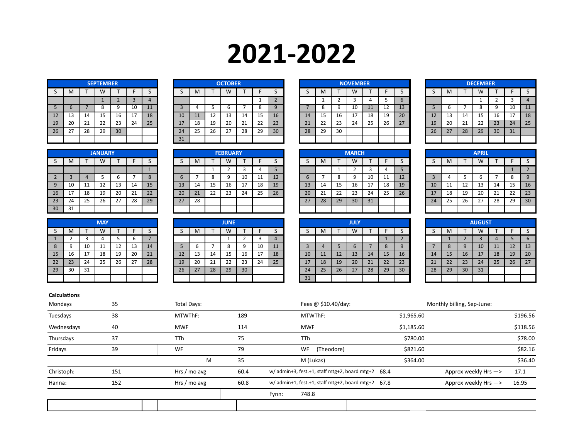## **2021-2022**

|    |    |    | <b>SEPTEMBER</b> |                |    |    |
|----|----|----|------------------|----------------|----|----|
| S  | M  |    | W                |                | F  | S  |
|    |    |    | 1                | $\overline{2}$ | 3  | 4  |
| 5  | 6  | 7  | 8                | 9              | 10 | 11 |
| 12 | 13 | 14 | 15               | 16             | 17 | 18 |
| 19 | 20 | 21 | 22               | 23             | 24 | 25 |
| 26 | 27 | 28 | 29               | 30             |    |    |
|    |    |    |                  |                |    |    |

|              | M   |                  | W        |    |    |    |    | M  |    | W  |         |    |    |    | M        |           | M  |    |    |    |    | M  |    | w<br>v v |    |    |    |
|--------------|-----|------------------|----------|----|----|----|----|----|----|----|---------|----|----|----|----------|-----------|----|----|----|----|----|----|----|----------|----|----|----|
|              |     |                  |          |    |    |    |    |    |    |    |         |    |    |    |          |           |    |    |    |    |    |    |    |          |    |    |    |
|              |     |                  |          |    | 10 | 11 |    |    |    |    |         |    |    |    | $\circ$  | a         | 10 | 11 | 12 | 13 |    |    |    | ۰        |    | 10 | 11 |
| $12^{\circ}$ | 13  | $1\Lambda$<br>∸∸ | <b>.</b> | 16 | 17 | 18 | 10 | 11 | 12 | 13 | 14      | 15 | 16 | 14 | 15<br>-- | 16        | 17 | 18 | 19 | 20 |    | 13 | 14 | 15       | 16 | 17 | 18 |
| 19           | 20  | 21               | 22       | 23 | 24 | 25 | 17 | 18 | 19 | 20 | ว1<br>ᅩ | 22 | 23 | 21 | 22       | つつ<br>ں ے | 24 | 25 | 26 | 27 | 19 | 20 | 21 | 22       | 23 | 24 | 25 |
| 26           | -27 | 28               | 29       | 30 |    |    | 24 | 25 | 26 | 27 | 28      | 29 | 30 | 28 | 29       | 30        |    |    |    |    | 26 | 27 | 28 | 29       | 30 | 31 |    |
|              |     |                  |          |    |    |    | 31 |    |    |    |         |    |    |    |          |           |    |    |    |    |    |    |    |          |    |    |    |

|    |                 |          | <b>JANUARY</b> |                |    |    |    |     |        | <b>FEBRUARY</b> |          |     |    |    |            |    | <b>MARCH</b> |    |    |    |                 |    |    | <b>APRIL</b> |    |    |                |
|----|-----------------|----------|----------------|----------------|----|----|----|-----|--------|-----------------|----------|-----|----|----|------------|----|--------------|----|----|----|-----------------|----|----|--------------|----|----|----------------|
|    | м               |          | W              |                |    |    |    | м   |        | $\overline{M}$  |          |     | -  |    | <b>IVI</b> |    | W            |    |    |    |                 | M  |    | W            |    |    |                |
|    |                 |          |                |                |    |    |    |     |        | ∸               |          |     | -  |    |            |    |              |    |    |    |                 |    |    |              |    |    |                |
|    |                 |          |                |                |    |    |    |     | o<br>Ο |                 | 10       | . . | 12 |    |            |    | a            | 10 | 11 | 12 |                 |    |    |              |    |    |                |
|    | 10              | 11<br>ᆠᆂ | 12             | 13             | 14 | 15 | IJ | -14 | 15     | 16              | <b>.</b> | 18  | 19 | 13 | 14         | ᅚ  | 16           | 17 | 18 | 19 | 10 <sub>1</sub> | 11 | ᅩ  | -40          | 14 | 15 | 16             |
| 16 | -17<br><b>L</b> | 18       | 19             | 20             | 21 | 22 | 20 | 21  | 22     | 23              | 24       | 25  | 26 | 20 | ᅩ          | 22 | 23           | 24 | 25 | 26 |                 | 18 | 19 | 20           | 21 | 22 | 23             |
| 23 | 24              | 25       | 26             | 77<br><u>.</u> | 28 | 29 | 27 | 28  |        |                 |          |     |    | 27 | 28         | 29 | 30           | 31 |    |    | 24              | 25 | 26 | 27           | 28 | 29 | 3 <sup>c</sup> |
| 30 | 31              |          |                |                |    |    |    |     |        |                 |          |     |    |    |            |    |              |    |    |    |                 |    |    |              |    |    |                |

|                |    |    | <b>MAY</b> |    |    |    |
|----------------|----|----|------------|----|----|----|
| S              | M  |    | W          |    | F  | S  |
| $\overline{1}$ | 2  | 3  | 4          | 5  | 6  |    |
| 8              | 9  | 10 | 11         | 12 | 13 | 14 |
| 15             | 16 | 17 | 18         | 19 | 20 | 21 |
| 22             | 23 | 24 | 25         | 26 | 27 | 28 |
| 29             | 30 | 31 |            |    |    |    |
|                |    |    |            |    |    |    |

|                 |      |    | <b>MAY</b> |    |    |    |    |    |                 | <b>JUNE</b> |                 |    |    |    |    |    | <b>JULY</b> |    |           |    |          |         |                 | <b>AUGUST</b> |    |    |                |
|-----------------|------|----|------------|----|----|----|----|----|-----------------|-------------|-----------------|----|----|----|----|----|-------------|----|-----------|----|----------|---------|-----------------|---------------|----|----|----------------|
| ັ               | -IVI |    | W          |    |    |    | ت  | м  |                 | W           |                 |    |    |    | M  |    | ١٨<br>v v   |    |           |    |          | M       |                 | ٧V            |    |    |                |
|                 |      |    |            |    |    |    |    |    |                 |             |                 |    |    |    |    |    |             |    |           |    |          |         |                 |               |    |    |                |
|                 | a    | 10 | <b>++</b>  | ᅩ  | ᆠ  | 14 |    |    |                 |             |                 | 10 | 11 |    |    |    |             |    | $\circ$   |    |          | $\circ$ | 9               | 10            | 11 | 12 | 13             |
| 15              | 16   | 17 | 18         | 19 | 20 | 21 | 12 | 13 | 14              | 15          | 16              | 17 | 18 | 10 | 11 | 12 | 13          | 14 | <b>15</b> | 16 | 14       | 15      | 16              | 17            | 18 | 19 | 2 <sup>c</sup> |
| 22 <sub>1</sub> | 23   | 24 | 25         | 26 | 27 | 28 | 19 | 20 | <b>CC</b><br>21 | 22          | 23              | 24 | 25 |    | 18 | 19 | 20          | 21 | 22        | 23 | 21<br>2T | 22      | 23              | 24            | 25 | 26 | 27             |
| 29              | 30   | 31 |            |    |    |    | 26 | 27 | 28              | 29          | 30 <sup>°</sup> |    |    | 24 | 25 | 26 | 27          | 28 | 29        | 30 | 28       | 29      | 30 <sup>°</sup> | 31            |    |    |                |
|                 |      |    |            |    |    |    |    |    |                 |             |                 |    |    | 31 |    |    |             |    |           |    |          |         |                 |               |    |    |                |

| <b>SEPTEMBER</b> |    |    |         |      |    |    | <b>OCTOBER</b> |    |    |          |    |    |    | <b>NOVEMBER</b> |    |            |    |    |     |                | <b>DECEMBER</b> |  |
|------------------|----|----|---------|------|----|----|----------------|----|----|----------|----|----|----|-----------------|----|------------|----|----|-----|----------------|-----------------|--|
| W                |    |    |         |      | M  |    | W              |    |    |          |    | M  |    | W               |    |            |    |    | ΙVΙ |                | W               |  |
|                  |    |    |         |      |    |    |                |    |    | <u>_</u> |    |    |    |                 |    |            | b  |    |     |                | <u>д.</u>       |  |
|                  |    | 10 | 11<br>ᆠ |      |    |    |                |    |    |          |    |    |    | 10              | 11 | - 1 -<br>ᆠ | 13 |    | o   |                | 8               |  |
| 15               | 16 | 17 | 18      | 10   | 11 | 12 | 13             | 14 | ∸∸ | 16       | 14 | 15 | 16 | 17              | 18 | 19         | 20 |    | 13  | 14             | 15              |  |
| 22               | 23 | 24 | 25      | $-1$ | 18 | 19 | 20             | 21 | 22 | 23       | 21 | 22 | 23 | 24              | 25 | 26         | 27 | 19 | 20  | <b>CO</b><br>ᅀ | 22              |  |
| 29               | 30 |    |         | 24   | 25 | 26 | דר<br>، ے      | 28 | 29 | 30       | 28 | 29 | 30 |                 |    |            |    | 26 | 27  | 28             | 29              |  |
|                  |    |    |         | 31   |    |    |                |    |    |          |    |    |    |                 |    |            |    |    |     |                |                 |  |

|    |    |    | <b>DECEMBER</b> |    |    |    |
|----|----|----|-----------------|----|----|----|
| S  | M  | T  | W               | Т  | F  | S  |
|    |    |    | 1               | 2  | 3  | 4  |
| 5  | 6  | 7  | 8               | 9  | 10 | 11 |
| 12 | 13 | 14 | 15              | 16 | 17 | 18 |
| 19 | 20 | 21 | 22              | 23 | 24 | 25 |
| 26 | 27 | 28 | 29              | 30 | 31 |    |
|    |    |    |                 |    |    |    |

|    |    | <b>JANUARY</b> |    |    |    |      |     |    | <b>FEBRUARY</b> |              |           |                          |    |    |         | <b>MARCH</b> |    |    |    |                 |           |    | <b>APRIL</b> |    |    |    |
|----|----|----------------|----|----|----|------|-----|----|-----------------|--------------|-----------|--------------------------|----|----|---------|--------------|----|----|----|-----------------|-----------|----|--------------|----|----|----|
| M  |    | W              |    |    |    |      | IVI |    | W               |              |           |                          | در | M  |         | w<br>v v     |    |    |    |                 | <b>IV</b> |    | W            |    |    |    |
|    |    |                |    |    |    |      |     |    |                 |              |           | $\overline{\phantom{a}}$ |    |    |         |              |    |    |    |                 |           |    |              |    |    |    |
|    |    |                |    |    |    |      |     |    |                 | 10           | -11<br>ᆠᆂ | 12                       |    |    | $\circ$ |              | 10 | ᆠᆂ | 12 |                 |           |    |              |    |    |    |
| 10 | 11 | ᅩ              | -- | 14 | τp | 13   | 14  | 15 | 16              | 17<br>ن باشا | 18        | 19                       | 13 | 14 | 15      | 16           | 17 | 18 | 19 | 10 <sup>1</sup> | 11        | 12 | 13           | 14 | 15 | 16 |
| 17 | 18 | 19             | 20 | 21 | 22 | 20   | 21  | 22 | 23              | 24           | 25        | 26                       | 20 | ᅩ  | 22      | 23           | 24 | 25 | 26 |                 | 18        | 19 | 20           | 21 | 22 | 23 |
| 24 | 25 | 26             | 27 | 28 | 29 | ر ہے | 28  |    |                 |              |           |                          | 27 | 28 | 29      | 30           | 31 |    |    | 24              | 25        | 26 | 27           | 28 | 29 | 30 |
| 31 |    |                |    |    |    |      |     |    |                 |              |           |                          |    |    |         |              |    |    |    |                 |           |    |              |    |    |    |

|    |              |                | <b>AUGUST</b> |                |    |    |
|----|--------------|----------------|---------------|----------------|----|----|
| S  | M            | т              | W             | т              | F  | S  |
|    | $\mathbf{1}$ | $\overline{2}$ | 3             | $\overline{4}$ | 5  | 6  |
| 7  | 8            | 9              | 10            | 11             | 12 | 13 |
| 14 | 15           | 16             | 17            | 18             | 19 | 20 |
| 21 | 22           | 23             | 24            | 25             | 26 | 27 |
| 28 | 29           | 30             | 31            |                |    |    |
|    |              |                |               |                |    |    |

## **Calculations**

| Mondays    | 35  | Total Days:  |      | Fees @ \$10.40/day:                                  |            | Monthly billing, Sep-June: |          |
|------------|-----|--------------|------|------------------------------------------------------|------------|----------------------------|----------|
| Tuesdays   | 38  | MTWThF:      | 189  | MTWThF:                                              | \$1,965.60 |                            | \$196.56 |
| Wednesdays | 40  | <b>MWF</b>   | 114  | <b>MWF</b>                                           | \$1,185.60 |                            | \$118.56 |
| Thursdays  | 37  | <b>TTh</b>   | 75   | <b>TTh</b>                                           | \$780.00   |                            | \$78.00  |
| Fridays    | 39  | WF           | 79   | (Theodore)<br><b>WF</b>                              | \$821.60   |                            | \$82.16  |
|            |     | M            | 35   | M (Lukas)                                            | \$364.00   |                            | \$36.40  |
| Christoph: | 151 | Hrs / mo avg | 60.4 | $w/$ admin+3, fest.+1, staff mtg+2, board mtg+2 68.4 |            | Approx weekly Hrs ->       | 17.1     |
| Hanna:     | 152 | Hrs / mo avg | 60.8 | w/ admin+1, fest.+1, staff mtg+2, board mtg+2 67.8   |            | Approx weekly Hrs ->       | 16.95    |
|            |     |              |      | 748.8<br>Fynn:                                       |            |                            |          |
|            |     |              |      |                                                      |            |                            |          |